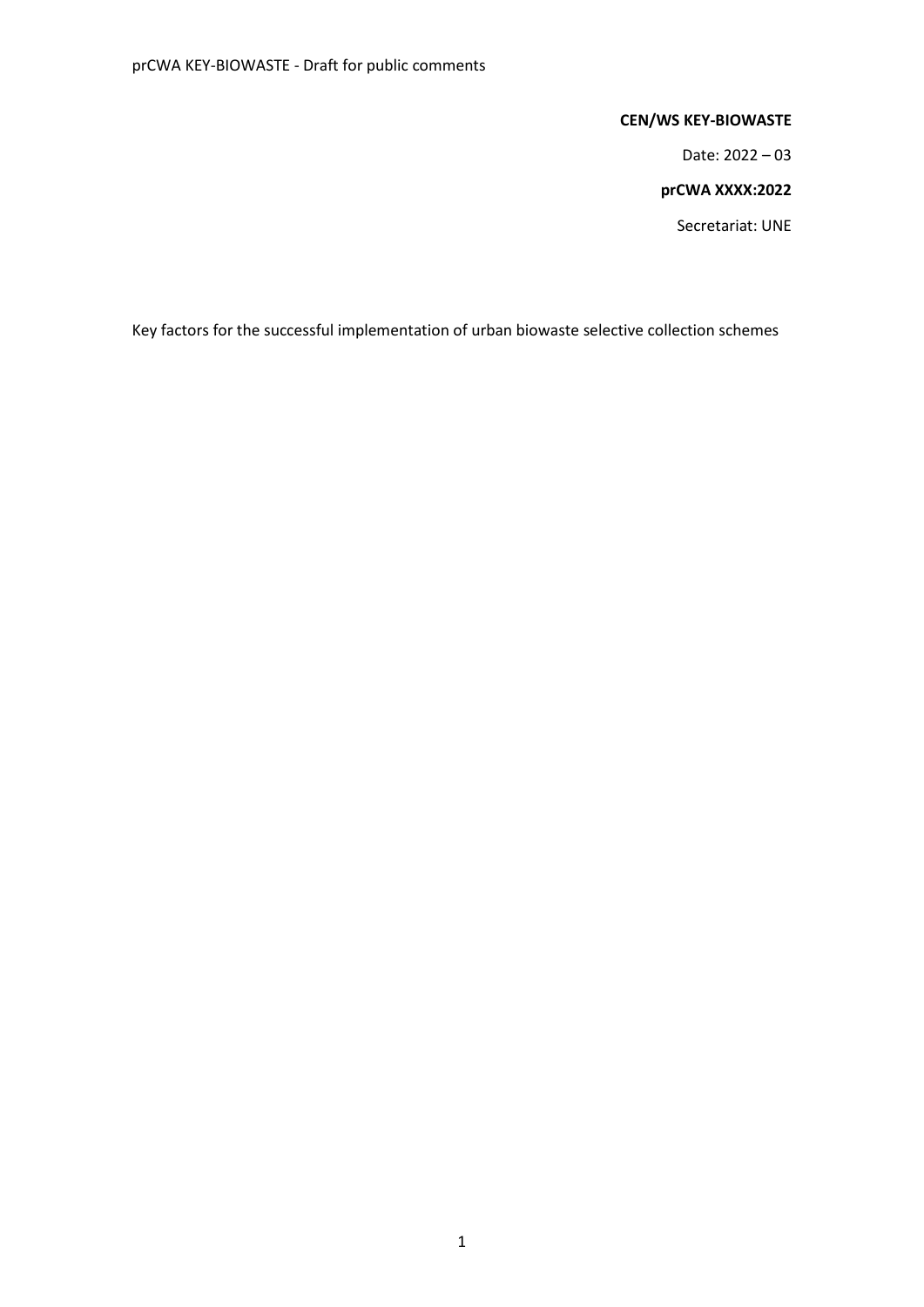### **CEN/WS KEY-BIOWASTE**

Date: 2022 – 03

#### **prCWA XXXX:2022**

Secretariat: UNE

Key factors for the successful implementation of urban biowaste selective collection schemes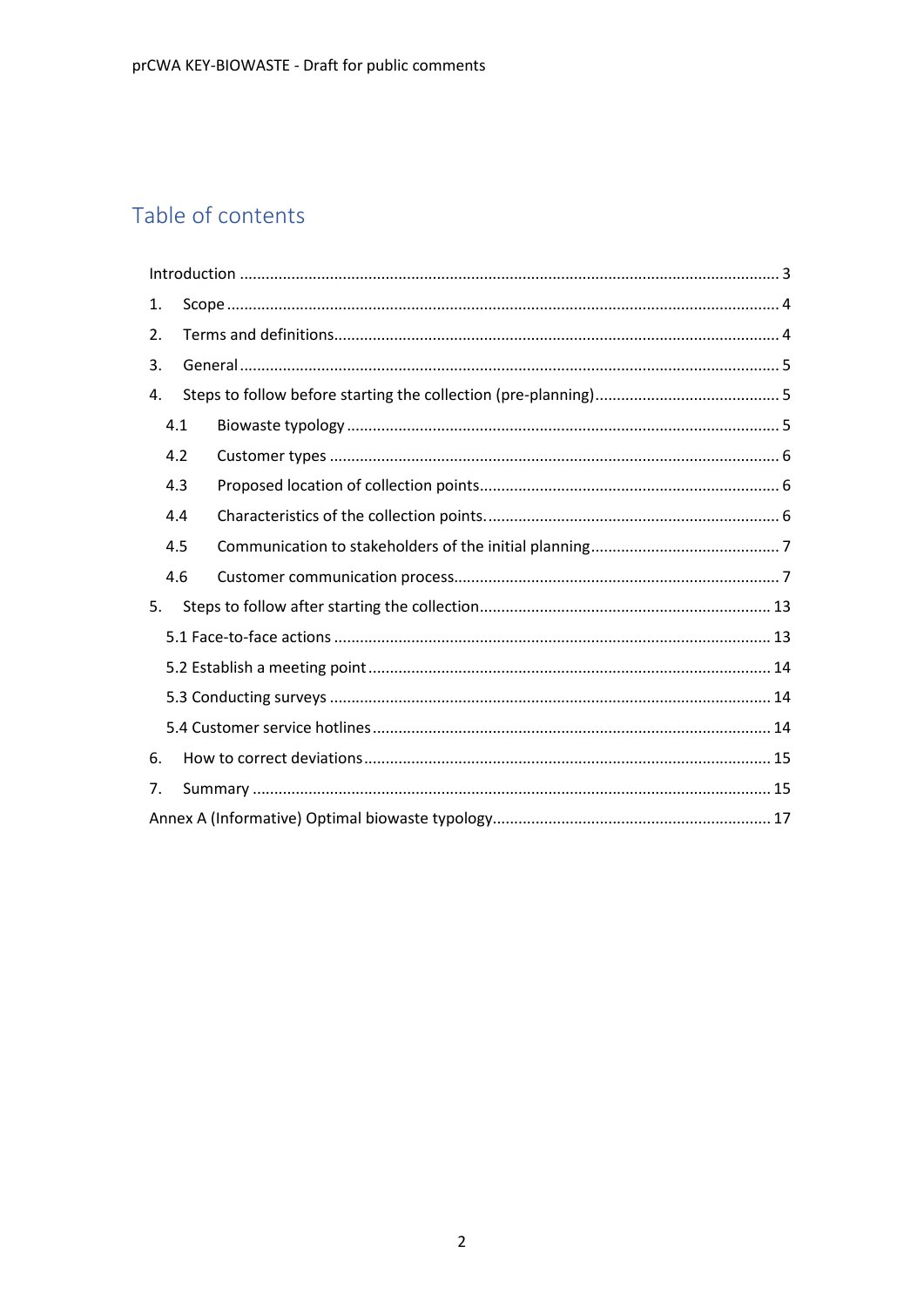# Table of contents

<span id="page-1-0"></span>

| 1. |     |  |  |
|----|-----|--|--|
| 2. |     |  |  |
| 3. |     |  |  |
| 4. |     |  |  |
|    | 4.1 |  |  |
|    | 4.2 |  |  |
|    | 4.3 |  |  |
|    | 4.4 |  |  |
|    | 4.5 |  |  |
|    | 4.6 |  |  |
| 5. |     |  |  |
|    |     |  |  |
|    |     |  |  |
|    |     |  |  |
|    |     |  |  |
| 6. |     |  |  |
| 7. |     |  |  |
|    |     |  |  |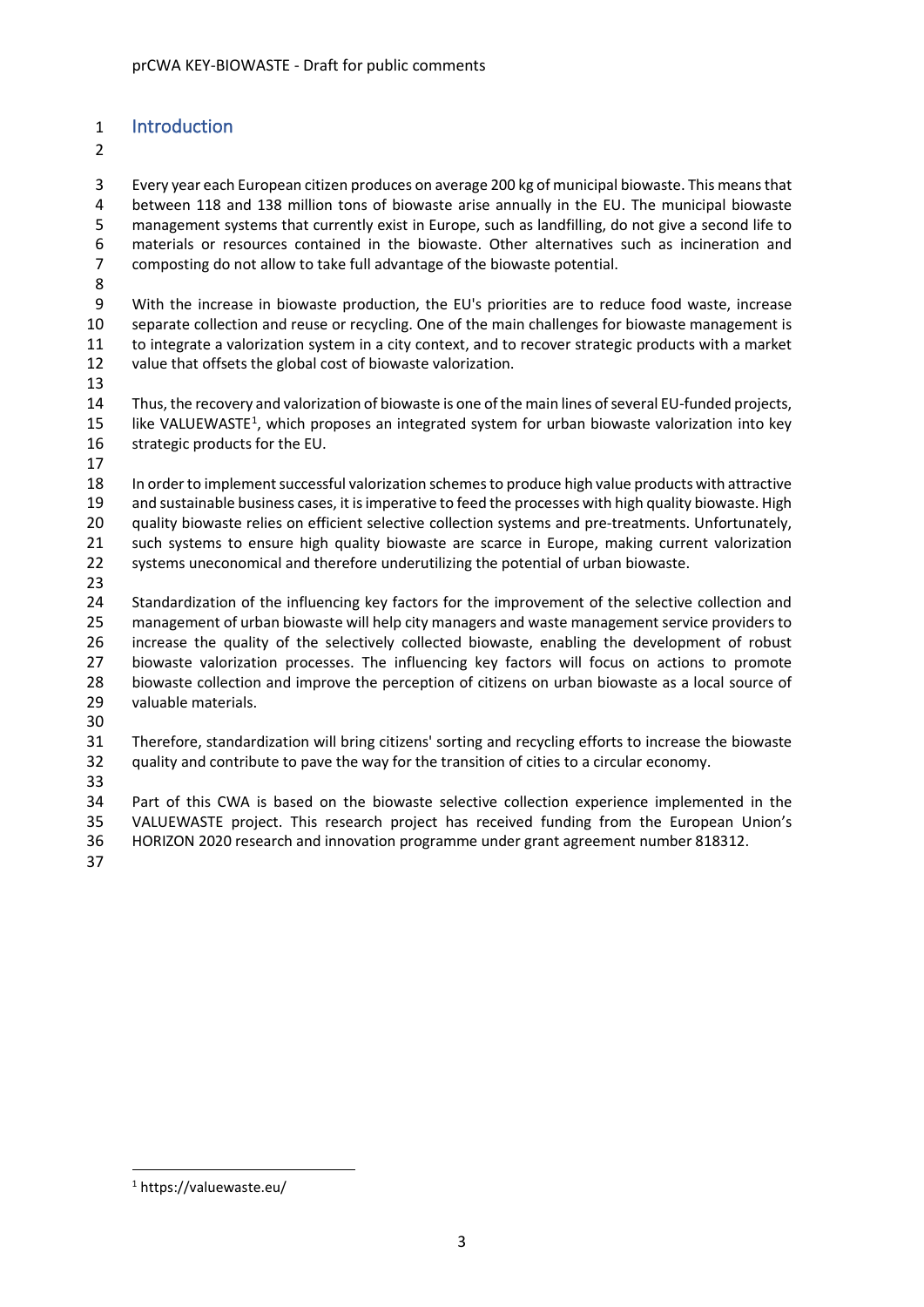# Introduction

 Every year each European citizen produces on average 200 kg of municipal biowaste. This means that between 118 and 138 million tons of biowaste arise annually in the EU. The municipal biowaste management systems that currently exist in Europe, such as landfilling, do not give a second life to materials or resources contained in the biowaste. Other alternatives such as incineration and composting do not allow to take full advantage of the biowaste potential.

 With the increase in biowaste production, the EU's priorities are to reduce food waste, increase separate collection and reuse or recycling. One of the main challenges for biowaste management is to integrate a valorization system in a city context, and to recover strategic products with a market value that offsets the global cost of biowaste valorization.

 Thus, the recovery and valorization of biowaste is one of the main lines of several EU-funded projects, 5 like VALUEWASTE<sup>1</sup>, which proposes an integrated system for urban biowaste valorization into key strategic products for the EU.

 In order to implement successful valorization schemes to produce high value products with attractive and sustainable business cases, it is imperative to feed the processes with high quality biowaste. High quality biowaste relies on efficient selective collection systems and pre-treatments. Unfortunately, such systems to ensure high quality biowaste are scarce in Europe, making current valorization systems uneconomical and therefore underutilizing the potential of urban biowaste.

24 Standardization of the influencing key factors for the improvement of the selective collection and management of urban biowaste will help city managers and waste management service providers to increase the quality of the selectively collected biowaste, enabling the development of robust biowaste valorization processes. The influencing key factors will focus on actions to promote biowaste collection and improve the perception of citizens on urban biowaste as a local source of valuable materials.

 Therefore, standardization will bring citizens' sorting and recycling efforts to increase the biowaste quality and contribute to pave the way for the transition of cities to a circular economy.

 Part of this CWA is based on the biowaste selective collection experience implemented in the VALUEWASTE project. This research project has received funding from the European Union's HORIZON 2020 research and innovation programme under grant agreement number 818312.

<span id="page-2-0"></span>https://valuewaste.eu/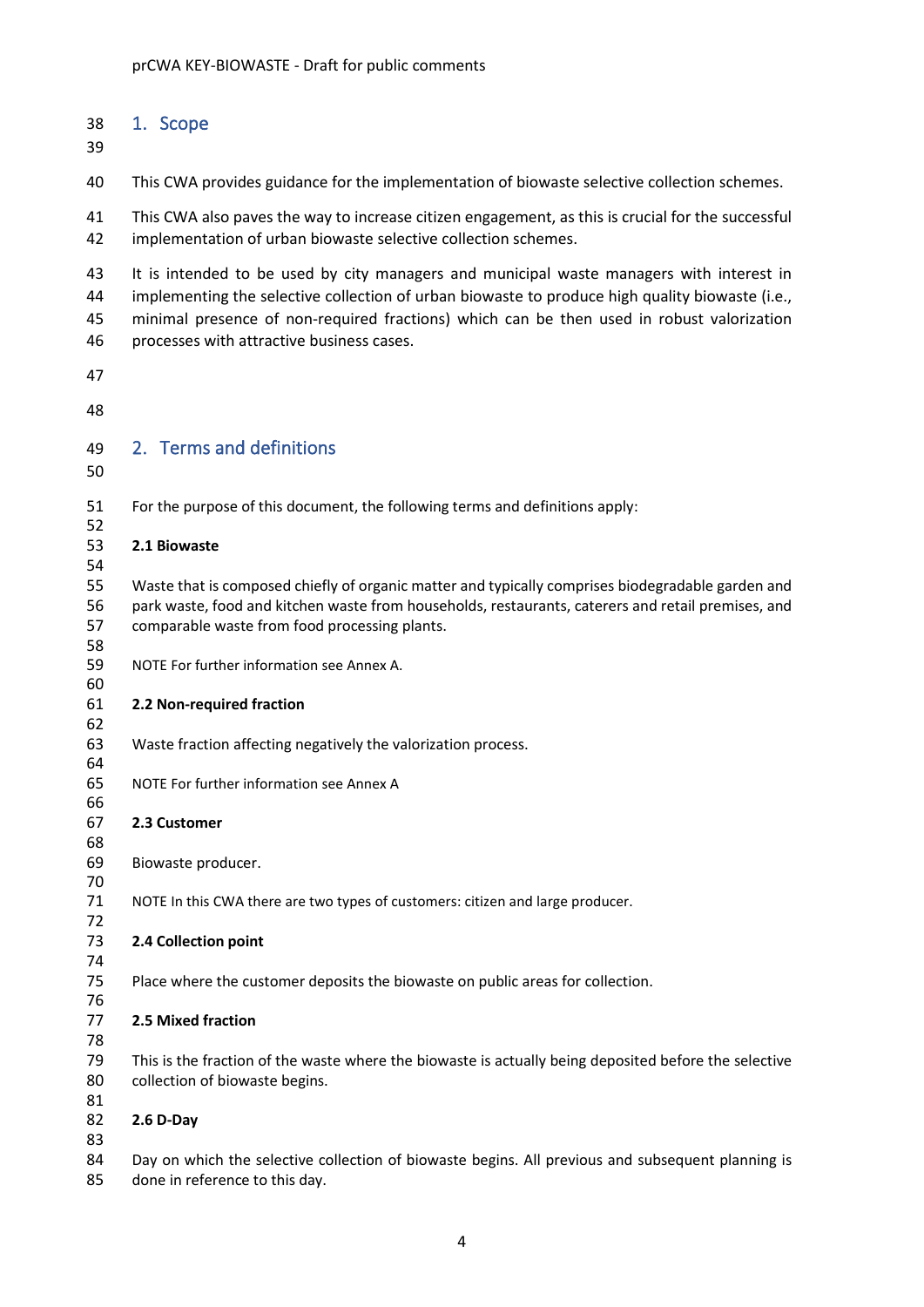### <span id="page-3-0"></span>1. Scope

This CWA provides guidance for the implementation of biowaste selective collection schemes.

 This CWA also paves the way to increase citizen engagement, as this is crucial for the successful implementation of urban biowaste selective collection schemes.

 It is intended to be used by city managers and municipal waste managers with interest in 44 implementing the selective collection of urban biowaste to produce high quality biowaste (i.e., minimal presence of non-required fractions) which can be then used in robust valorization processes with attractive business cases.

- 
- 

# <span id="page-3-1"></span>2. Terms and definitions

For the purpose of this document, the following terms and definitions apply:

#### **2.1 Biowaste**

 Waste that is composed chiefly of organic matter and typically comprises biodegradable garden and park waste, food and kitchen waste from households, restaurants, caterers and retail premises, and comparable waste from food processing plants.

NOTE For further information see Annex A.

#### **2.2 Non-required fraction**

- Waste fraction affecting negatively the valorization process.
- NOTE For further information see Annex A

#### **2.3 Customer**

Biowaste producer.

NOTE In this CWA there are two types of customers: citizen and large producer.

#### **2.4 Collection point**

Place where the customer deposits the biowaste on public areas for collection.

#### **2.5 Mixed fraction**

 This is the fraction of the waste where the biowaste is actually being deposited before the selective collection of biowaste begins.

#### **2.6 D-Day**

84 Day on which the selective collection of biowaste begins. All previous and subsequent planning is done in reference to this day.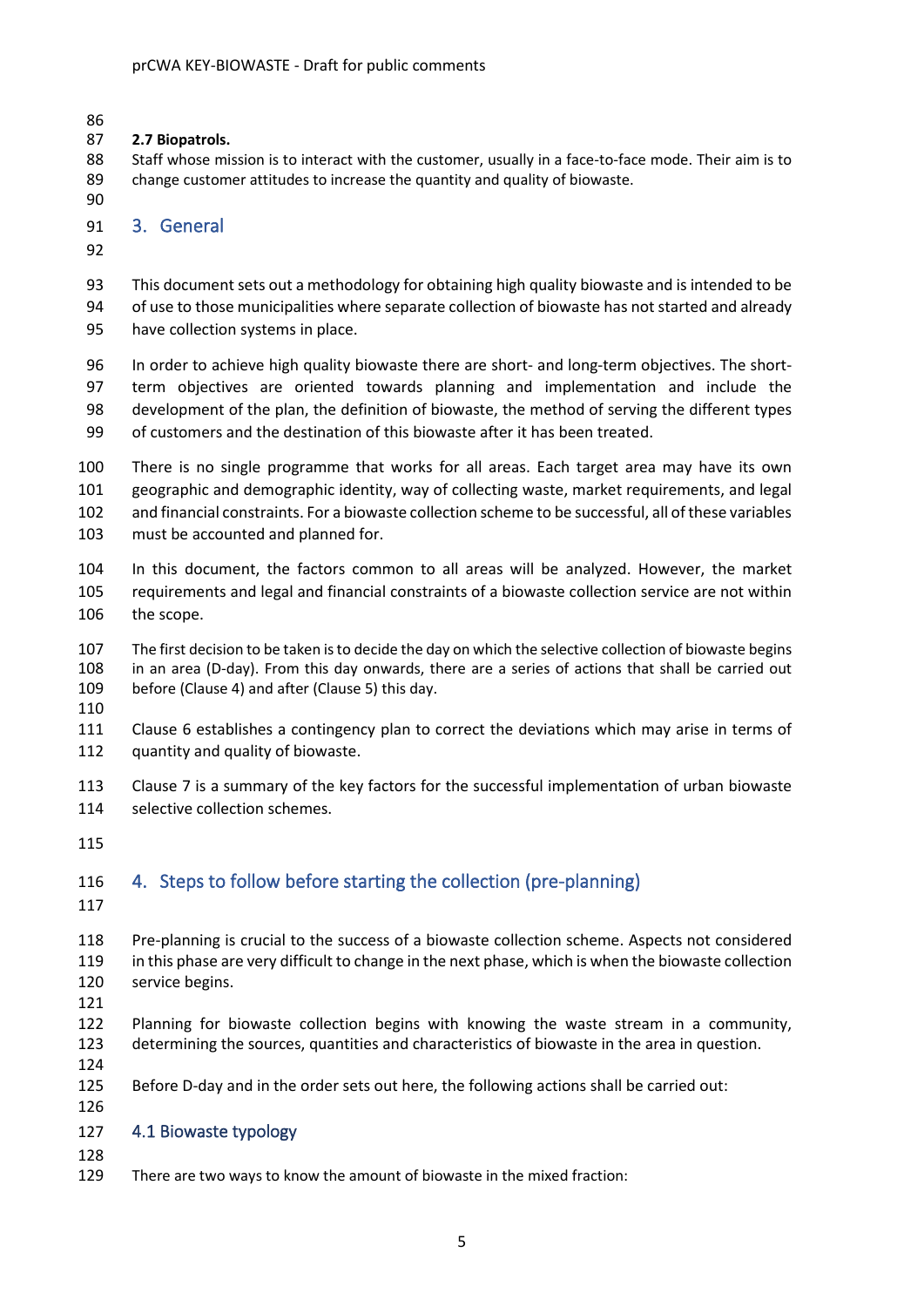### **2.7 Biopatrols.**

 Staff whose mission is to interact with the customer, usually in a face-to-face mode. Their aim is to change customer attitudes to increase the quantity and quality of biowaste.

## <span id="page-4-0"></span>3. General

 This document sets out a methodology for obtaining high quality biowaste and is intended to be of use to those municipalities where separate collection of biowaste has not started and already have collection systems in place.

96 In order to achieve high quality biowaste there are short- and long-term objectives. The short- term objectives are oriented towards planning and implementation and include the development of the plan, the definition of biowaste, the method of serving the different types of customers and the destination of this biowaste after it has been treated.

 There is no single programme that works for all areas. Each target area may have its own geographic and demographic identity, way of collecting waste, market requirements, and legal and financial constraints. For a biowaste collection scheme to be successful, all of these variables must be accounted and planned for.

 In this document, the factors common to all areas will be analyzed. However, the market requirements and legal and financial constraints of a biowaste collection service are not within 106 the scope.

 The first decision to be taken is to decide the day on which the selective collection of biowaste begins in an area (D-day). From this day onwards, there are a series of actions that shall be carried out before (Clause 4) and after (Clause 5) this day.

 Clause 6 establishes a contingency plan to correct the deviations which may arise in terms of quantity and quality of biowaste.

 Clause 7 is a summary of the key factors for the successful implementation of urban biowaste 114 selective collection schemes.

# <span id="page-4-1"></span>4. Steps to follow before starting the collection (pre-planning)

 Pre-planning is crucial to the success of a biowaste collection scheme. Aspects not considered in this phase are very difficult to change in the next phase, which is when the biowaste collection service begins.

 Planning for biowaste collection begins with knowing the waste stream in a community, determining the sources, quantities and characteristics of biowaste in the area in question.

Before D-day and in the order sets out here, the following actions shall be carried out:

# <span id="page-4-2"></span>4.1 Biowaste typology

There are two ways to know the amount of biowaste in the mixed fraction: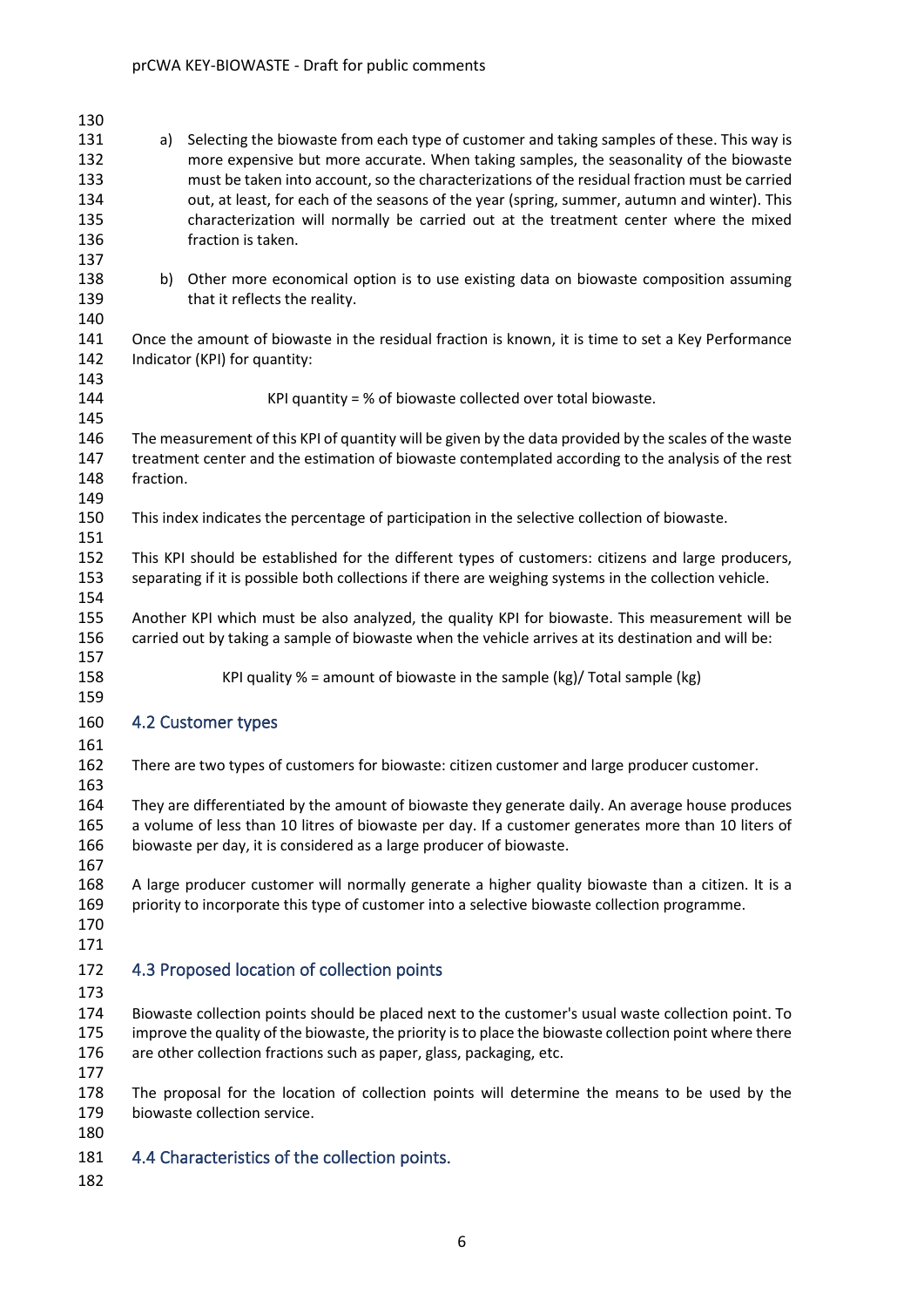<span id="page-5-2"></span><span id="page-5-1"></span><span id="page-5-0"></span>

| 130                                           |           |                                                                                                                                                                                                                                                                                                                                                                                                                                                                                                      |
|-----------------------------------------------|-----------|------------------------------------------------------------------------------------------------------------------------------------------------------------------------------------------------------------------------------------------------------------------------------------------------------------------------------------------------------------------------------------------------------------------------------------------------------------------------------------------------------|
| 131<br>132<br>133<br>134<br>135<br>136<br>137 | a)        | Selecting the biowaste from each type of customer and taking samples of these. This way is<br>more expensive but more accurate. When taking samples, the seasonality of the biowaste<br>must be taken into account, so the characterizations of the residual fraction must be carried<br>out, at least, for each of the seasons of the year (spring, summer, autumn and winter). This<br>characterization will normally be carried out at the treatment center where the mixed<br>fraction is taken. |
| 138<br>139<br>140                             |           | b) Other more economical option is to use existing data on biowaste composition assuming<br>that it reflects the reality.                                                                                                                                                                                                                                                                                                                                                                            |
| 141<br>142<br>143                             |           | Once the amount of biowaste in the residual fraction is known, it is time to set a Key Performance<br>Indicator (KPI) for quantity:                                                                                                                                                                                                                                                                                                                                                                  |
| 144<br>145                                    |           | KPI quantity = $%$ of biowaste collected over total biowaste.                                                                                                                                                                                                                                                                                                                                                                                                                                        |
| 146<br>147<br>148<br>149                      | fraction. | The measurement of this KPI of quantity will be given by the data provided by the scales of the waste<br>treatment center and the estimation of biowaste contemplated according to the analysis of the rest                                                                                                                                                                                                                                                                                          |
| 150<br>151                                    |           | This index indicates the percentage of participation in the selective collection of biowaste.                                                                                                                                                                                                                                                                                                                                                                                                        |
| 152<br>153<br>154                             |           | This KPI should be established for the different types of customers: citizens and large producers,<br>separating if it is possible both collections if there are weighing systems in the collection vehicle.                                                                                                                                                                                                                                                                                         |
| 155<br>156<br>157                             |           | Another KPI which must be also analyzed, the quality KPI for biowaste. This measurement will be<br>carried out by taking a sample of biowaste when the vehicle arrives at its destination and will be:                                                                                                                                                                                                                                                                                               |
| 158<br>159                                    |           | KPI quality $% =$ amount of biowaste in the sample (kg)/ Total sample (kg)                                                                                                                                                                                                                                                                                                                                                                                                                           |
| 160<br>161                                    |           | 4.2 Customer types                                                                                                                                                                                                                                                                                                                                                                                                                                                                                   |
| 162<br>163                                    |           | There are two types of customers for biowaste: citizen customer and large producer customer.                                                                                                                                                                                                                                                                                                                                                                                                         |
| 164<br>165<br>166<br>167                      |           | They are differentiated by the amount of biowaste they generate daily. An average house produces<br>a volume of less than 10 litres of biowaste per day. If a customer generates more than 10 liters of<br>biowaste per day, it is considered as a large producer of biowaste.                                                                                                                                                                                                                       |
| 168<br>169<br>170<br>171                      |           | A large producer customer will normally generate a higher quality biowaste than a citizen. It is a<br>priority to incorporate this type of customer into a selective biowaste collection programme.                                                                                                                                                                                                                                                                                                  |
| 172                                           |           | 4.3 Proposed location of collection points                                                                                                                                                                                                                                                                                                                                                                                                                                                           |
| 173<br>174<br>175<br>176<br>177               |           | Biowaste collection points should be placed next to the customer's usual waste collection point. To<br>improve the quality of the biowaste, the priority is to place the biowaste collection point where there<br>are other collection fractions such as paper, glass, packaging, etc.                                                                                                                                                                                                               |
| 178<br>179<br>180                             |           | The proposal for the location of collection points will determine the means to be used by the<br>biowaste collection service.                                                                                                                                                                                                                                                                                                                                                                        |
| 181                                           |           | 4.4 Characteristics of the collection points.                                                                                                                                                                                                                                                                                                                                                                                                                                                        |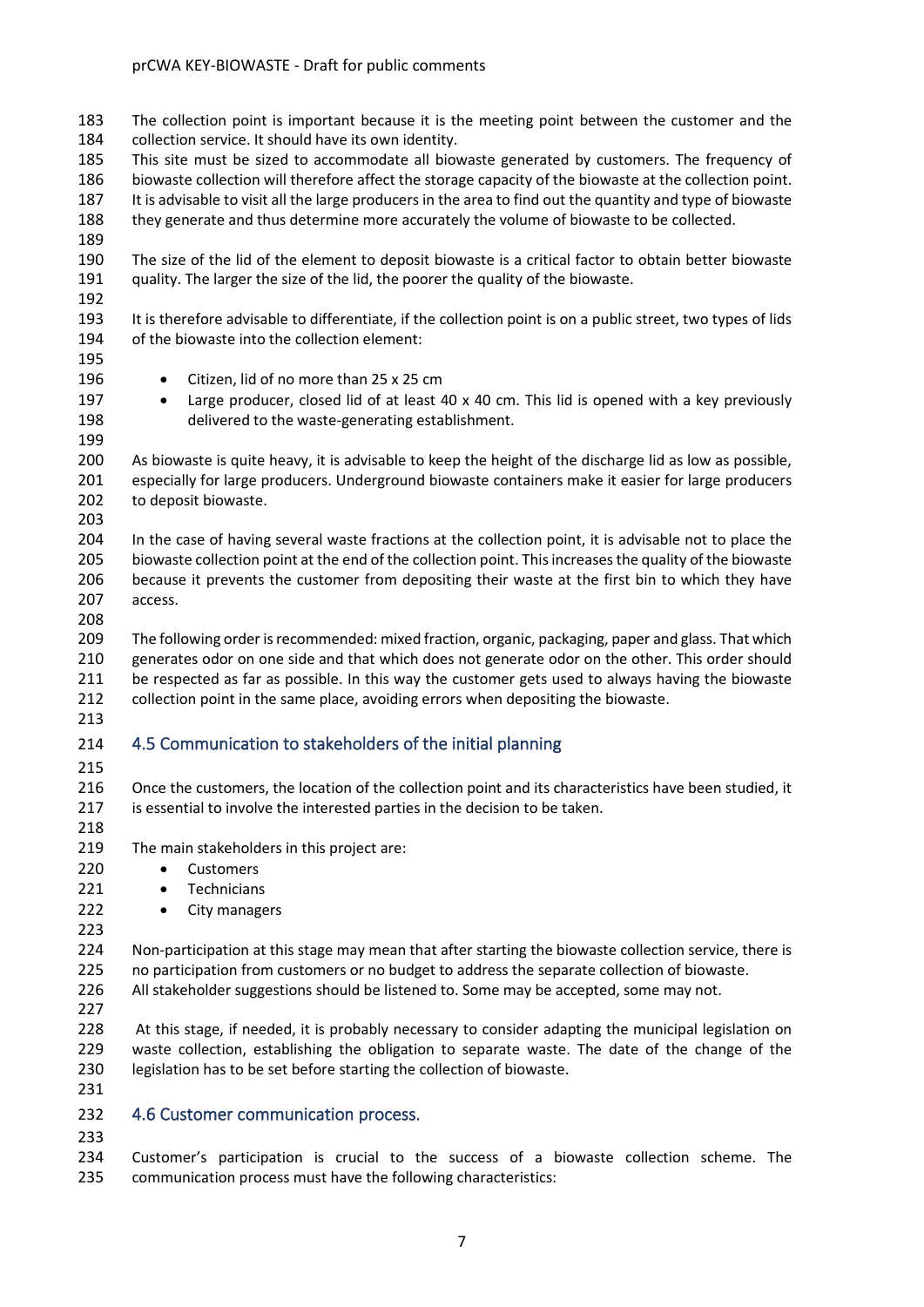The collection point is important because it is the meeting point between the customer and the collection service. It should have its own identity.

 This site must be sized to accommodate all biowaste generated by customers. The frequency of biowaste collection will therefore affect the storage capacity of the biowaste at the collection point. It is advisable to visit all the large producers in the area to find out the quantity and type of biowaste they generate and thus determine more accurately the volume of biowaste to be collected.

 The size of the lid of the element to deposit biowaste is a critical factor to obtain better biowaste quality. The larger the size of the lid, the poorer the quality of the biowaste.

 It is therefore advisable to differentiate, if the collection point is on a public street, two types of lids of the biowaste into the collection element:

- 196 Citizen, lid of no more than 25 x 25 cm
- 197 Large producer, closed lid of at least 40 x 40 cm. This lid is opened with a key previously delivered to the waste-generating establishment.

 As biowaste is quite heavy, it is advisable to keep the height of the discharge lid as low as possible, especially for large producers. Underground biowaste containers make it easier for large producers 202 to deposit biowaste.

 In the case of having several waste fractions at the collection point, it is advisable not to place the biowaste collection point at the end of the collection point. This increases the quality of the biowaste 206 because it prevents the customer from depositing their waste at the first bin to which they have access.

 The following order is recommended: mixed fraction, organic, packaging, paper and glass. That which generates odor on one side and that which does not generate odor on the other. This order should be respected as far as possible. In this way the customer gets used to always having the biowaste collection point in the same place, avoiding errors when depositing the biowaste. 

- <span id="page-6-0"></span>4.5 Communication to stakeholders of the initial planning
- 

216 Once the customers, the location of the collection point and its characteristics have been studied, it is essential to involve the interested parties in the decision to be taken. 

- The main stakeholders in this project are:
- Customers
- 221 Technicians
- 222 City managers
- 224 Non-participation at this stage may mean that after starting the biowaste collection service, there is no participation from customers or no budget to address the separate collection of biowaste. All stakeholder suggestions should be listened to. Some may be accepted, some may not.
- 

228 At this stage, if needed, it is probably necessary to consider adapting the municipal legislation on waste collection, establishing the obligation to separate waste. The date of the change of the legislation has to be set before starting the collection of biowaste.

# <span id="page-6-1"></span>4.6 Customer communication process.

 Customer's participation is crucial to the success of a biowaste collection scheme. The communication process must have the following characteristics: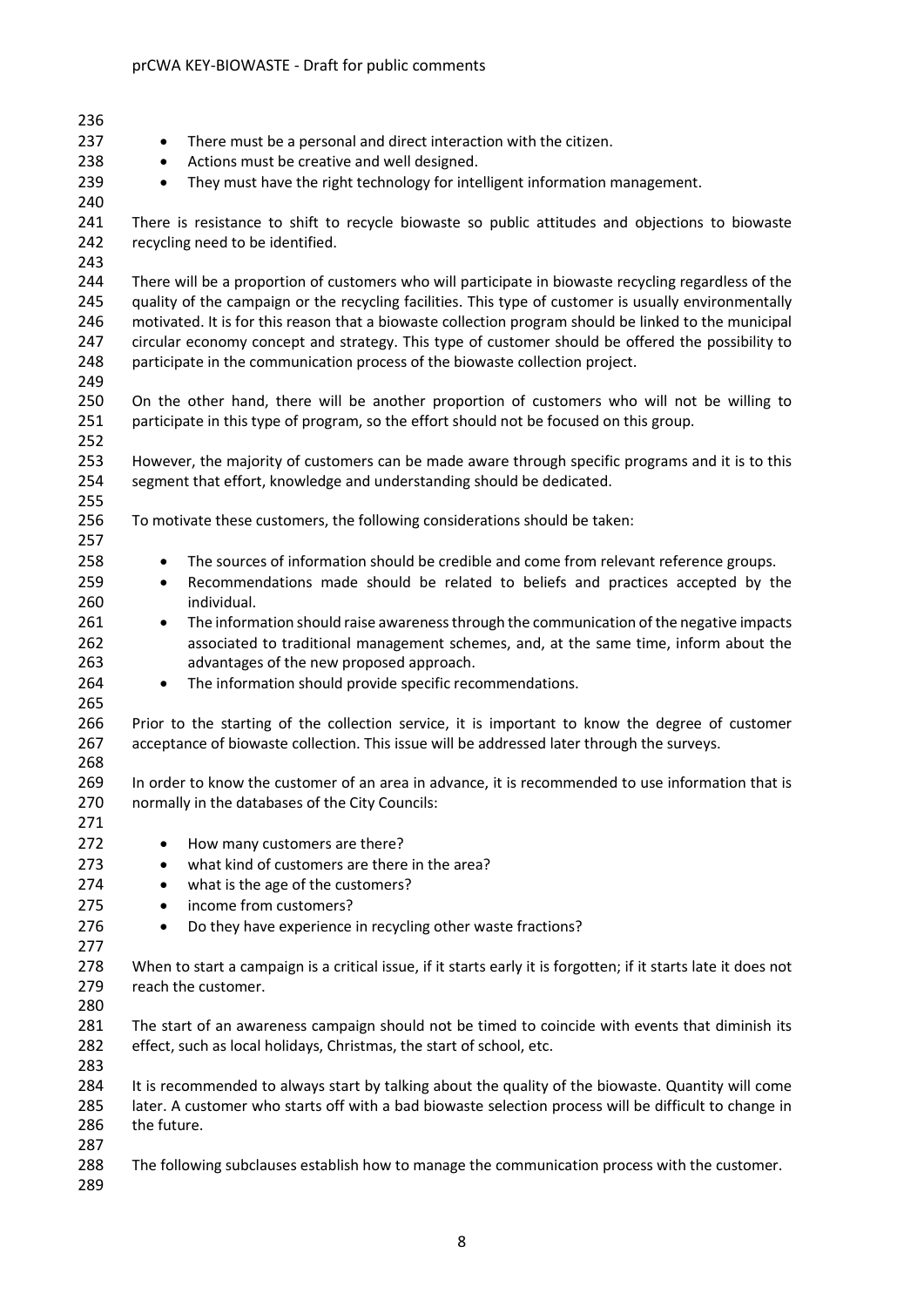| 236 |                                                                                                                 |
|-----|-----------------------------------------------------------------------------------------------------------------|
|     |                                                                                                                 |
| 237 | There must be a personal and direct interaction with the citizen.<br>٠                                          |
| 238 | Actions must be creative and well designed.<br>$\bullet$                                                        |
| 239 | They must have the right technology for intelligent information management.<br>$\bullet$                        |
| 240 |                                                                                                                 |
| 241 | There is resistance to shift to recycle biowaste so public attitudes and objections to biowaste                 |
| 242 | recycling need to be identified.                                                                                |
| 243 |                                                                                                                 |
| 244 | There will be a proportion of customers who will participate in biowaste recycling regardless of the            |
| 245 | quality of the campaign or the recycling facilities. This type of customer is usually environmentally           |
| 246 | motivated. It is for this reason that a biowaste collection program should be linked to the municipal           |
| 247 | circular economy concept and strategy. This type of customer should be offered the possibility to               |
| 248 | participate in the communication process of the biowaste collection project.                                    |
| 249 |                                                                                                                 |
| 250 | On the other hand, there will be another proportion of customers who will not be willing to                     |
| 251 | participate in this type of program, so the effort should not be focused on this group.                         |
| 252 |                                                                                                                 |
| 253 | However, the majority of customers can be made aware through specific programs and it is to this                |
| 254 | segment that effort, knowledge and understanding should be dedicated.                                           |
| 255 |                                                                                                                 |
| 256 | To motivate these customers, the following considerations should be taken:                                      |
| 257 |                                                                                                                 |
| 258 | The sources of information should be credible and come from relevant reference groups.<br>$\bullet$             |
| 259 | Recommendations made should be related to beliefs and practices accepted by the<br>$\bullet$                    |
| 260 | individual.                                                                                                     |
| 261 | The information should raise awareness through the communication of the negative impacts<br>$\bullet$           |
| 262 | associated to traditional management schemes, and, at the same time, inform about the                           |
| 263 | advantages of the new proposed approach.                                                                        |
| 264 | The information should provide specific recommendations.<br>$\bullet$                                           |
| 265 |                                                                                                                 |
| 266 | Prior to the starting of the collection service, it is important to know the degree of customer                 |
| 267 | acceptance of biowaste collection. This issue will be addressed later through the surveys.                      |
| 268 |                                                                                                                 |
| 269 | In order to know the customer of an area in advance, it is recommended to use information that is               |
| 270 | normally in the databases of the City Councils:                                                                 |
| 271 |                                                                                                                 |
|     |                                                                                                                 |
| 272 | How many customers are there?<br>$\bullet$                                                                      |
| 273 | what kind of customers are there in the area?<br>$\bullet$                                                      |
| 274 | what is the age of the customers?<br>$\bullet$                                                                  |
| 275 | income from customers?<br>$\bullet$                                                                             |
| 276 | Do they have experience in recycling other waste fractions?<br>$\bullet$                                        |
| 277 |                                                                                                                 |
| 278 | When to start a campaign is a critical issue, if it starts early it is forgotten; if it starts late it does not |
| 279 | reach the customer.                                                                                             |
| 280 |                                                                                                                 |
| 281 | The start of an awareness campaign should not be timed to coincide with events that diminish its                |
| 282 | effect, such as local holidays, Christmas, the start of school, etc.                                            |
| 283 |                                                                                                                 |
| 284 | It is recommended to always start by talking about the quality of the biowaste. Quantity will come              |
| 285 | later. A customer who starts off with a bad biowaste selection process will be difficult to change in           |
| 286 | the future.                                                                                                     |
| 287 |                                                                                                                 |
| 288 | The following subclauses establish how to manage the communication process with the customer.                   |
| 289 |                                                                                                                 |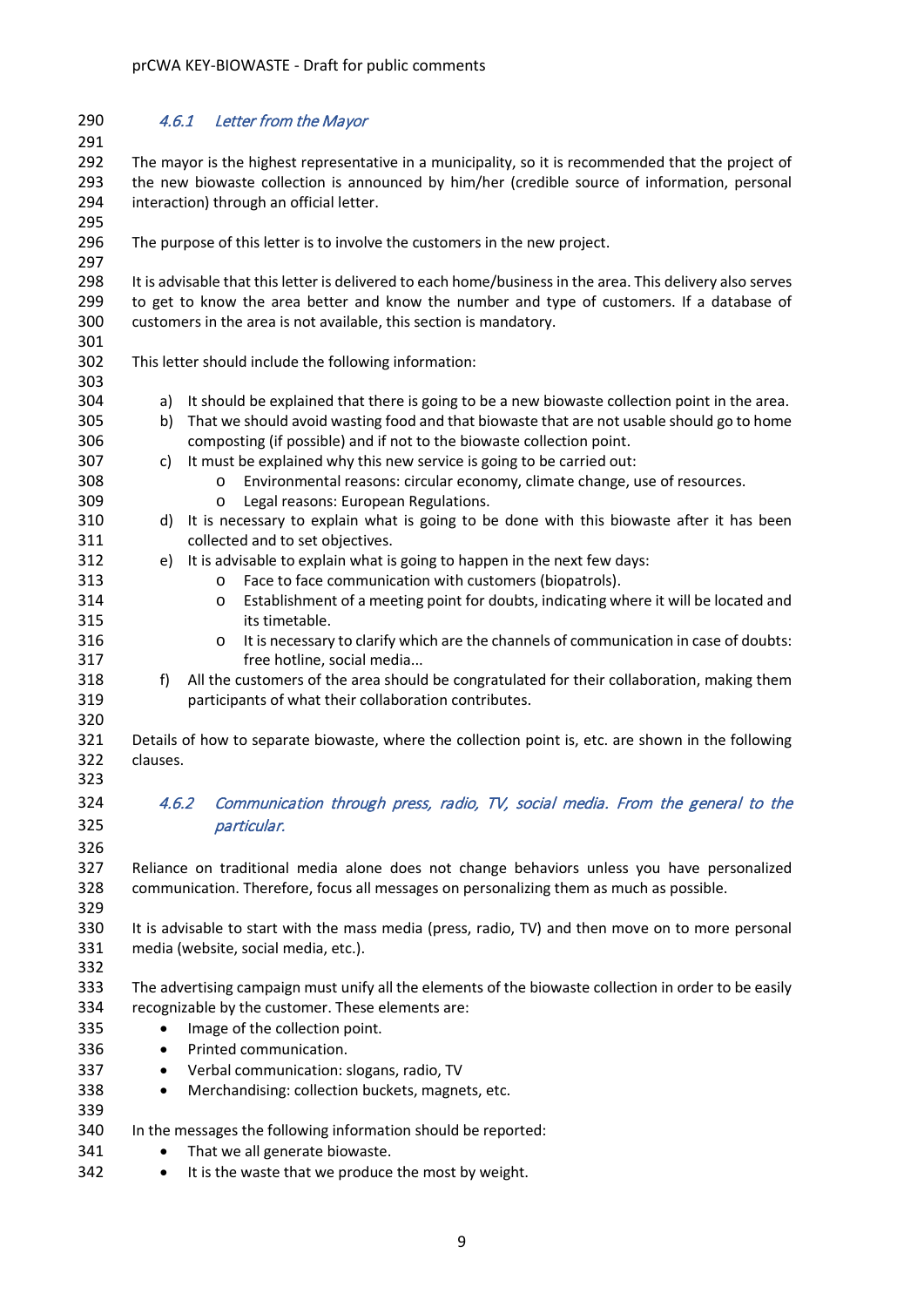| 290 | 4.6.1<br>Letter from the Mayor                                                                             |  |
|-----|------------------------------------------------------------------------------------------------------------|--|
| 291 |                                                                                                            |  |
| 292 | The mayor is the highest representative in a municipality, so it is recommended that the project of        |  |
| 293 | the new biowaste collection is announced by him/her (credible source of information, personal              |  |
| 294 | interaction) through an official letter.                                                                   |  |
| 295 |                                                                                                            |  |
| 296 | The purpose of this letter is to involve the customers in the new project.                                 |  |
| 297 |                                                                                                            |  |
| 298 | It is advisable that this letter is delivered to each home/business in the area. This delivery also serves |  |
| 299 | to get to know the area better and know the number and type of customers. If a database of                 |  |
| 300 | customers in the area is not available, this section is mandatory.                                         |  |
| 301 |                                                                                                            |  |
| 302 | This letter should include the following information:                                                      |  |
| 303 |                                                                                                            |  |
| 304 | a) It should be explained that there is going to be a new biowaste collection point in the area.           |  |
| 305 | That we should avoid wasting food and that biowaste that are not usable should go to home<br>b)            |  |
| 306 | composting (if possible) and if not to the biowaste collection point.                                      |  |
| 307 | It must be explained why this new service is going to be carried out:<br>c)                                |  |
| 308 | Environmental reasons: circular economy, climate change, use of resources.<br>$\circ$                      |  |
| 309 | Legal reasons: European Regulations.<br>$\circ$                                                            |  |
| 310 | d) It is necessary to explain what is going to be done with this biowaste after it has been                |  |
| 311 |                                                                                                            |  |
|     | collected and to set objectives.                                                                           |  |
| 312 | e) It is advisable to explain what is going to happen in the next few days:                                |  |
| 313 | Face to face communication with customers (biopatrols).<br>$\circ$                                         |  |
| 314 | Establishment of a meeting point for doubts, indicating where it will be located and<br>O                  |  |
| 315 | its timetable.                                                                                             |  |
| 316 | It is necessary to clarify which are the channels of communication in case of doubts:<br>$\circ$           |  |
| 317 | free hotline, social media                                                                                 |  |
| 318 | All the customers of the area should be congratulated for their collaboration, making them<br>f)           |  |
| 319 | participants of what their collaboration contributes.                                                      |  |
| 320 |                                                                                                            |  |
| 321 | Details of how to separate biowaste, where the collection point is, etc. are shown in the following        |  |
| 322 | clauses.                                                                                                   |  |
| 323 |                                                                                                            |  |
| 324 | 4.6.2<br>Communication through press, radio, TV, social media. From the general to the                     |  |
| 325 | particular.                                                                                                |  |
| 326 |                                                                                                            |  |
| 327 | Reliance on traditional media alone does not change behaviors unless you have personalized                 |  |
| 328 | communication. Therefore, focus all messages on personalizing them as much as possible.                    |  |
| 329 |                                                                                                            |  |
| 330 | It is advisable to start with the mass media (press, radio, TV) and then move on to more personal          |  |
| 331 |                                                                                                            |  |
|     | media (website, social media, etc.).                                                                       |  |
| 332 |                                                                                                            |  |
| 333 | The advertising campaign must unify all the elements of the biowaste collection in order to be easily      |  |
| 334 | recognizable by the customer. These elements are:                                                          |  |
| 335 | Image of the collection point.                                                                             |  |
| 336 | Printed communication.<br>٠                                                                                |  |
| 337 | Verbal communication: slogans, radio, TV<br>$\bullet$                                                      |  |
| 338 | Merchandising: collection buckets, magnets, etc.<br>$\bullet$                                              |  |
| 339 |                                                                                                            |  |
| 340 | In the messages the following information should be reported:                                              |  |
| 341 | That we all generate biowaste.                                                                             |  |
| 342 | It is the waste that we produce the most by weight.<br>٠                                                   |  |
|     |                                                                                                            |  |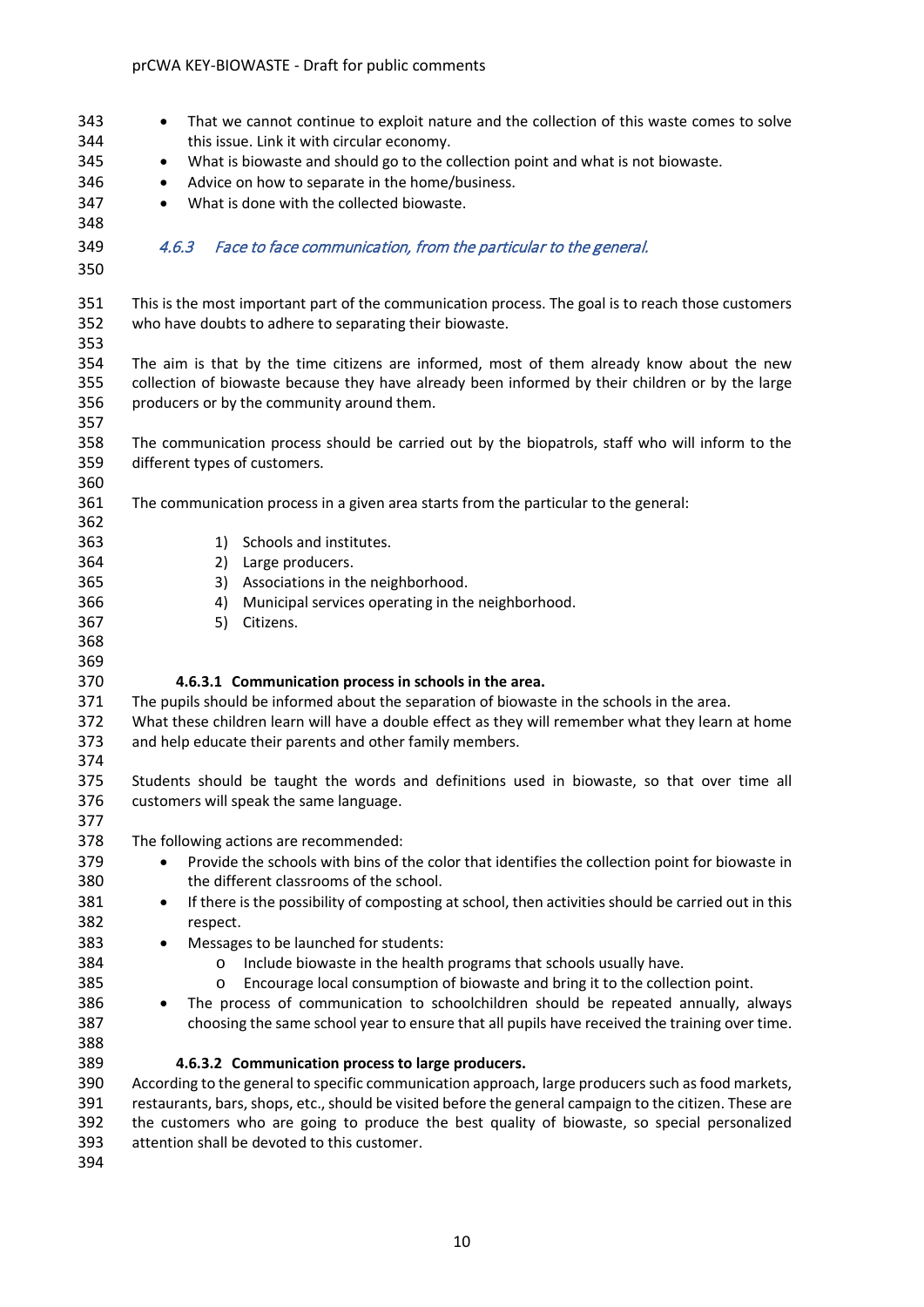| 343<br>344<br>345<br>346<br>347<br>348<br>349<br>350 | That we cannot continue to exploit nature and the collection of this waste comes to solve<br>٠<br>this issue. Link it with circular economy.<br>What is biowaste and should go to the collection point and what is not biowaste.<br>$\bullet$<br>Advice on how to separate in the home/business.<br>$\bullet$<br>What is done with the collected biowaste.<br>$\bullet$<br>4.6.3<br>Face to face communication, from the particular to the general. |
|------------------------------------------------------|-----------------------------------------------------------------------------------------------------------------------------------------------------------------------------------------------------------------------------------------------------------------------------------------------------------------------------------------------------------------------------------------------------------------------------------------------------|
| 351<br>352<br>353                                    | This is the most important part of the communication process. The goal is to reach those customers<br>who have doubts to adhere to separating their biowaste.                                                                                                                                                                                                                                                                                       |
| 354<br>355<br>356<br>357                             | The aim is that by the time citizens are informed, most of them already know about the new<br>collection of biowaste because they have already been informed by their children or by the large<br>producers or by the community around them.                                                                                                                                                                                                        |
| 358<br>359<br>360                                    | The communication process should be carried out by the biopatrols, staff who will inform to the<br>different types of customers.                                                                                                                                                                                                                                                                                                                    |
| 361<br>362                                           | The communication process in a given area starts from the particular to the general:                                                                                                                                                                                                                                                                                                                                                                |
| 363<br>364                                           | 1) Schools and institutes.<br>2) Large producers.                                                                                                                                                                                                                                                                                                                                                                                                   |
| 365                                                  | Associations in the neighborhood.<br>3)                                                                                                                                                                                                                                                                                                                                                                                                             |
| 366                                                  | Municipal services operating in the neighborhood.<br>4)                                                                                                                                                                                                                                                                                                                                                                                             |
| 367                                                  | 5)<br>Citizens.                                                                                                                                                                                                                                                                                                                                                                                                                                     |
| 368                                                  |                                                                                                                                                                                                                                                                                                                                                                                                                                                     |
| 369                                                  |                                                                                                                                                                                                                                                                                                                                                                                                                                                     |
| 370                                                  | 4.6.3.1 Communication process in schools in the area.                                                                                                                                                                                                                                                                                                                                                                                               |
| 371                                                  | The pupils should be informed about the separation of biowaste in the schools in the area.                                                                                                                                                                                                                                                                                                                                                          |
| 372                                                  | What these children learn will have a double effect as they will remember what they learn at home                                                                                                                                                                                                                                                                                                                                                   |
| 373                                                  | and help educate their parents and other family members.                                                                                                                                                                                                                                                                                                                                                                                            |
| 374                                                  |                                                                                                                                                                                                                                                                                                                                                                                                                                                     |
| 375                                                  | Students should be taught the words and definitions used in biowaste, so that over time all                                                                                                                                                                                                                                                                                                                                                         |
| 376                                                  | customers will speak the same language.                                                                                                                                                                                                                                                                                                                                                                                                             |
| 377                                                  |                                                                                                                                                                                                                                                                                                                                                                                                                                                     |
| 378                                                  | The following actions are recommended:                                                                                                                                                                                                                                                                                                                                                                                                              |
| 379                                                  | Provide the schools with bins of the color that identifies the collection point for biowaste in<br>$\bullet$                                                                                                                                                                                                                                                                                                                                        |
| 380                                                  | the different classrooms of the school.                                                                                                                                                                                                                                                                                                                                                                                                             |
| 381                                                  | If there is the possibility of composting at school, then activities should be carried out in this<br>$\bullet$                                                                                                                                                                                                                                                                                                                                     |
| 382                                                  | respect.                                                                                                                                                                                                                                                                                                                                                                                                                                            |
| 383                                                  | Messages to be launched for students:<br>٠                                                                                                                                                                                                                                                                                                                                                                                                          |
| 384                                                  | Include biowaste in the health programs that schools usually have.<br>$\circ$                                                                                                                                                                                                                                                                                                                                                                       |
| 385                                                  | Encourage local consumption of biowaste and bring it to the collection point.<br>$\circ$                                                                                                                                                                                                                                                                                                                                                            |
| 386                                                  | The process of communication to schoolchildren should be repeated annually, always                                                                                                                                                                                                                                                                                                                                                                  |
| 387                                                  | choosing the same school year to ensure that all pupils have received the training over time.                                                                                                                                                                                                                                                                                                                                                       |
| 388                                                  |                                                                                                                                                                                                                                                                                                                                                                                                                                                     |
| 389                                                  | 4.6.3.2 Communication process to large producers.                                                                                                                                                                                                                                                                                                                                                                                                   |
| 390                                                  | According to the general to specific communication approach, large producers such as food markets,                                                                                                                                                                                                                                                                                                                                                  |
| 391                                                  | restaurants, bars, shops, etc., should be visited before the general campaign to the citizen. These are                                                                                                                                                                                                                                                                                                                                             |
| 392                                                  | the customers who are going to produce the best quality of biowaste, so special personalized                                                                                                                                                                                                                                                                                                                                                        |
| 393                                                  | attention shall be devoted to this customer.                                                                                                                                                                                                                                                                                                                                                                                                        |
| <b>COM</b>                                           |                                                                                                                                                                                                                                                                                                                                                                                                                                                     |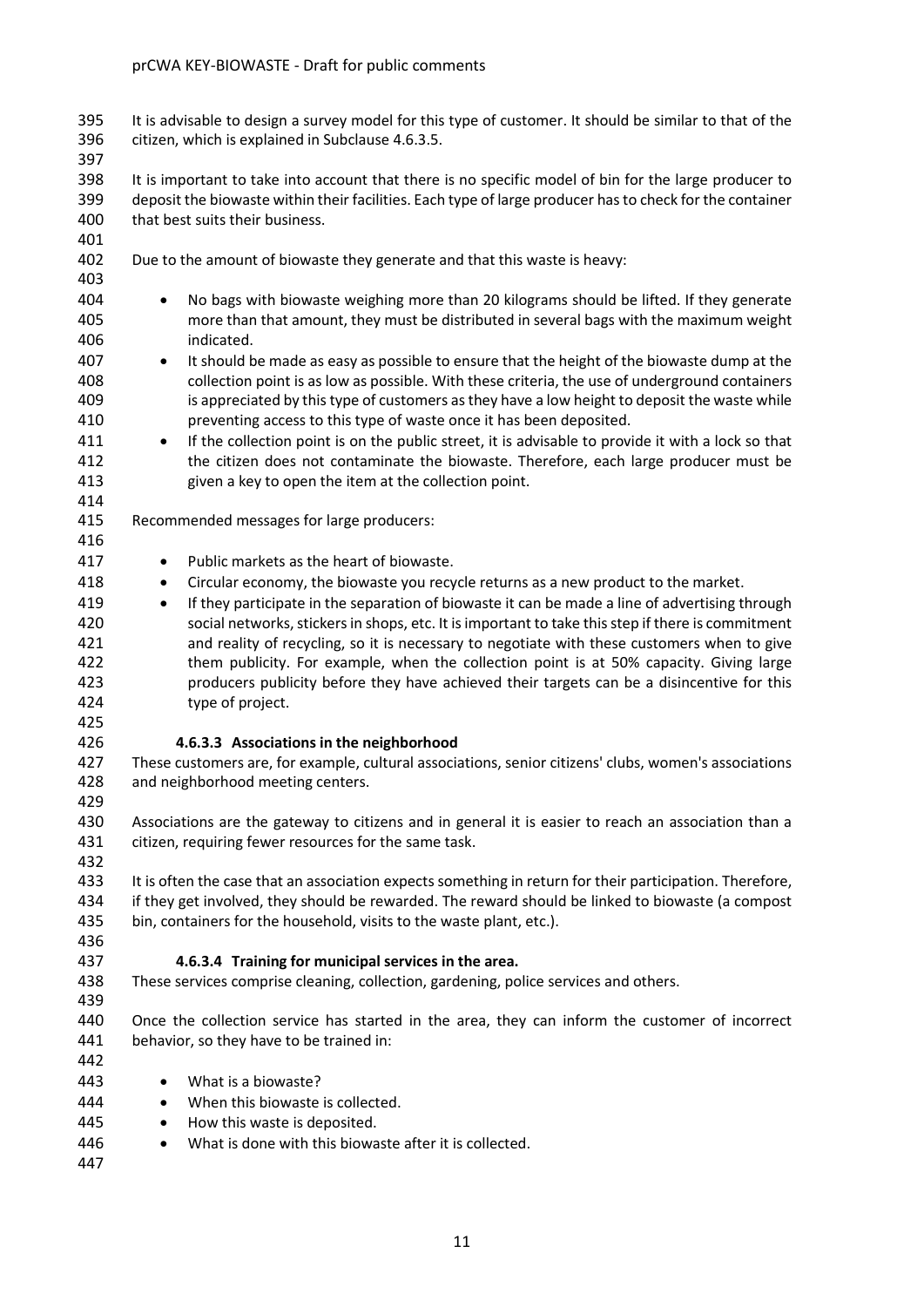It is advisable to design a survey model for this type of customer. It should be similar to that of the citizen, which is explained in Subclause 4.6.3.5.

 It is important to take into account that there is no specific model of bin for the large producer to deposit the biowaste within their facilities. Each type of large producer has to check for the container that best suits their business.

- 402 Due to the amount of biowaste they generate and that this waste is heavy:
- 

- No bags with biowaste weighing more than 20 kilograms should be lifted. If they generate more than that amount, they must be distributed in several bags with the maximum weight indicated.
- It should be made as easy as possible to ensure that the height of the biowaste dump at the collection point is as low as possible. With these criteria, the use of underground containers is appreciated by this type of customers as they have a low height to deposit the waste while preventing access to this type of waste once it has been deposited.
- If the collection point is on the public street, it is advisable to provide it with a lock so that the citizen does not contaminate the biowaste. Therefore, each large producer must be given a key to open the item at the collection point.
- 

Recommended messages for large producers:

- 417 Public markets as the heart of biowaste.
- Circular economy, the biowaste you recycle returns as a new product to the market.
- If they participate in the separation of biowaste it can be made a line of advertising through social networks, stickers in shops, etc. It is important to take this step if there is commitment and reality of recycling, so it is necessary to negotiate with these customers when to give 422 them publicity. For example, when the collection point is at 50% capacity. Giving large producers publicity before they have achieved their targets can be a disincentive for this type of project.
- 

#### **4.6.3.3 Associations in the neighborhood**

- These customers are, for example, cultural associations, senior citizens' clubs, women's associations and neighborhood meeting centers.
- Associations are the gateway to citizens and in general it is easier to reach an association than a citizen, requiring fewer resources for the same task.
- It is often the case that an association expects something in return for their participation. Therefore, if they get involved, they should be rewarded. The reward should be linked to biowaste (a compost bin, containers for the household, visits to the waste plant, etc.).
- 

#### **4.6.3.4 Training for municipal services in the area.**

- These services comprise cleaning, collection, gardening, police services and others.
- Once the collection service has started in the area, they can inform the customer of incorrect behavior, so they have to be trained in:
- What is a biowaste?
- 444 When this biowaste is collected.
- 445 How this waste is deposited.
- What is done with this biowaste after it is collected.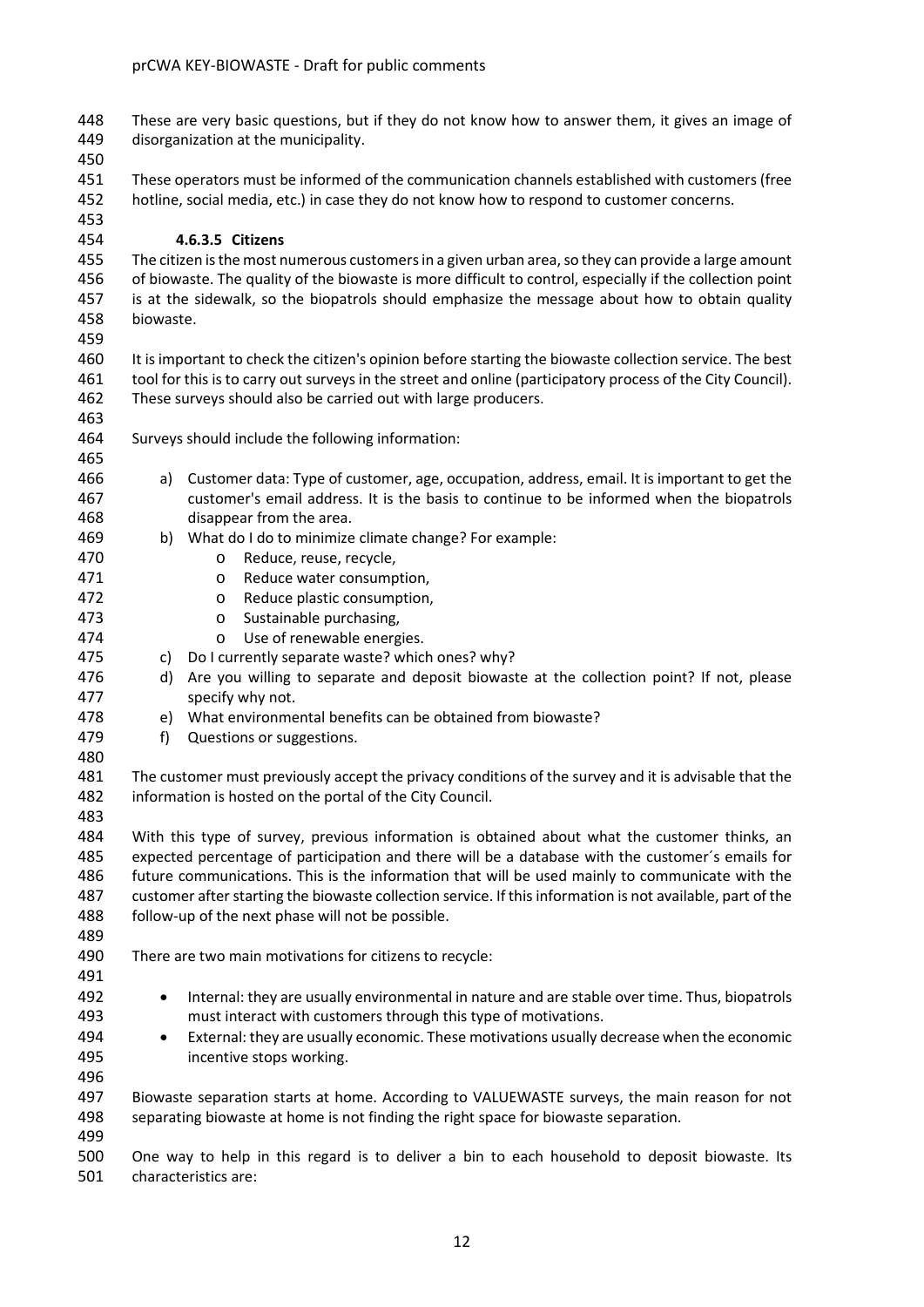These are very basic questions, but if they do not know how to answer them, it gives an image of disorganization at the municipality.

 These operators must be informed of the communication channels established with customers (free hotline, social media, etc.) in case they do not know how to respond to customer concerns.

#### **4.6.3.5 Citizens**

 The citizen is the most numerous customersin a given urban area, so they can provide a large amount of biowaste. The quality of the biowaste is more difficult to control, especially if the collection point is at the sidewalk, so the biopatrols should emphasize the message about how to obtain quality biowaste.

 It is important to check the citizen's opinion before starting the biowaste collection service. The best tool for this is to carry out surveys in the street and online (participatory process of the City Council). These surveys should also be carried out with large producers.

Surveys should include the following information:

- a) Customer data: Type of customer, age, occupation, address, email. It is important to get the customer's email address. It is the basis to continue to be informed when the biopatrols disappear from the area.
- b) What do I do to minimize climate change? For example:
- o Reduce, reuse, recycle,
- o Reduce water consumption,
- 472 o Reduce plastic consumption,<br>473 o Sustainable purchasing.
	-
- 473 o Sustainable purchasing,<br>474 o Use of renewable energ 474 o Use of renewable energies.<br>475 c) Do I currently separate waste? whic
	- c) Do I currently separate waste? which ones? why?
- 476 d) Are you willing to separate and deposit biowaste at the collection point? If not, please specify why not.
- e) What environmental benefits can be obtained from biowaste?
- f) Questions or suggestions.

 The customer must previously accept the privacy conditions of the survey and it is advisable that the information is hosted on the portal of the City Council.

 With this type of survey, previous information is obtained about what the customer thinks, an expected percentage of participation and there will be a database with the customer´s emails for future communications. This is the information that will be used mainly to communicate with the customer after starting the biowaste collection service. If this information is not available, part of the follow-up of the next phase will not be possible.

- There are two main motivations for citizens to recycle:
- Internal: they are usually environmental in nature and are stable over time. Thus, biopatrols must interact with customers through this type of motivations.
- External: they are usually economic. These motivations usually decrease when the economic incentive stops working.

 Biowaste separation starts at home. According to VALUEWASTE surveys, the main reason for not separating biowaste at home is not finding the right space for biowaste separation.

 One way to help in this regard is to deliver a bin to each household to deposit biowaste. Its characteristics are: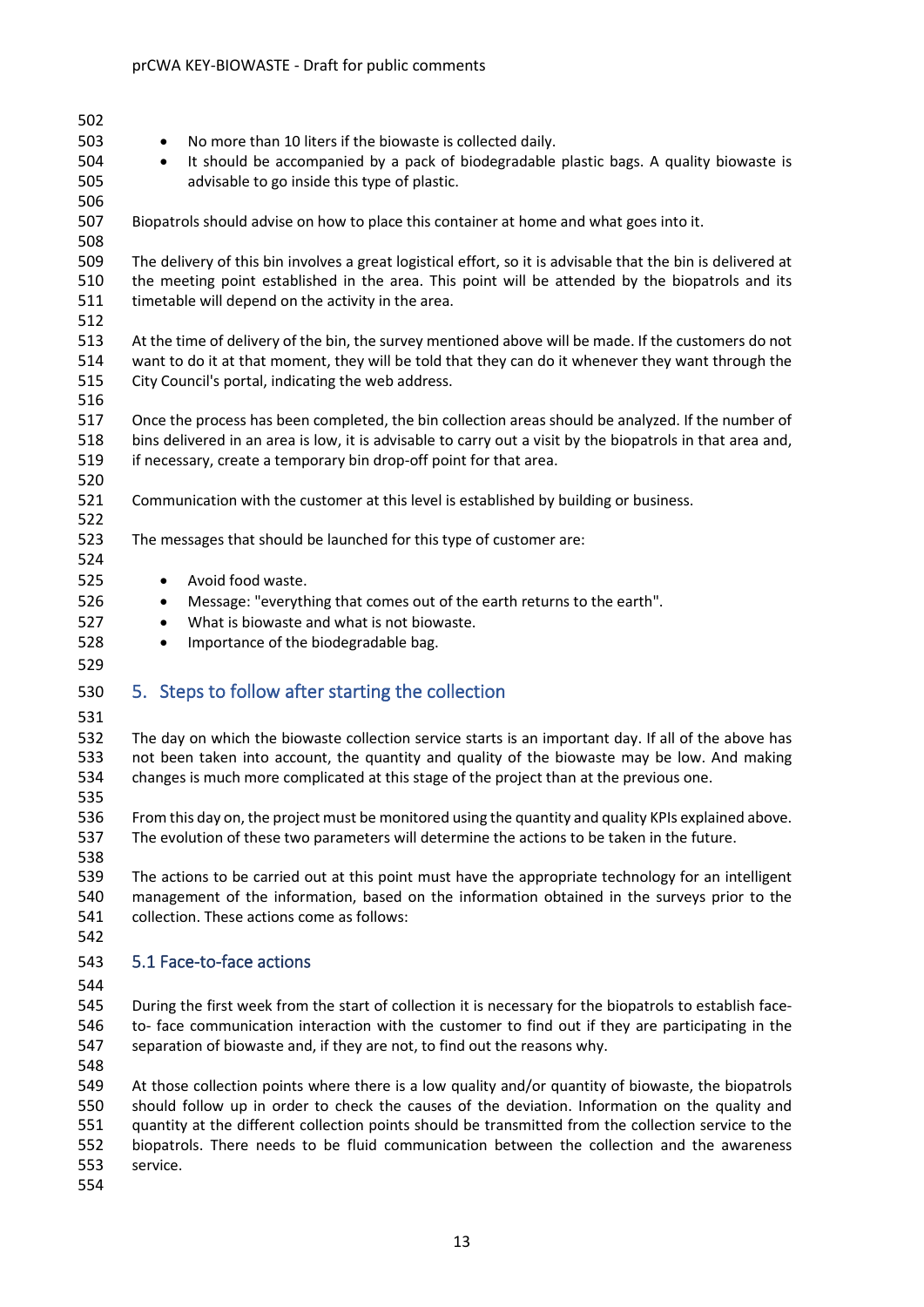- • No more than 10 liters if the biowaste is collected daily. • It should be accompanied by a pack of biodegradable plastic bags. A quality biowaste is advisable to go inside this type of plastic. Biopatrols should advise on how to place this container at home and what goes into it. The delivery of this bin involves a great logistical effort, so it is advisable that the bin is delivered at the meeting point established in the area. This point will be attended by the biopatrols and its timetable will depend on the activity in the area. At the time of delivery of the bin, the survey mentioned above will be made. If the customers do not want to do it at that moment, they will be told that they can do it whenever they want through the City Council's portal, indicating the web address. Once the process has been completed, the bin collection areas should be analyzed. If the number of bins delivered in an area is low, it is advisable to carry out a visit by the biopatrols in that area and, 519 if necessary, create a temporary bin drop-off point for that area. Communication with the customer at this level is established by building or business. The messages that should be launched for this type of customer are: • Avoid food waste. • Message: "everything that comes out of the earth returns to the earth". • What is biowaste and what is not biowaste. • Importance of the biodegradable bag. 5. Steps to follow after starting the collection The day on which the biowaste collection service starts is an important day. If all of the above has not been taken into account, the quantity and quality of the biowaste may be low. And making changes is much more complicated at this stage of the project than at the previous one. From this day on, the project must be monitored using the quantity and quality KPIs explained above. The evolution of these two parameters will determine the actions to be taken in the future. The actions to be carried out at this point must have the appropriate technology for an intelligent management of the information, based on the information obtained in the surveys prior to the collection. These actions come as follows: 5.1 Face-to-face actions During the first week from the start of collection it is necessary for the biopatrols to establish face- to- face communication interaction with the customer to find out if they are participating in the separation of biowaste and, if they are not, to find out the reasons why. At those collection points where there is a low quality and/or quantity of biowaste, the biopatrols should follow up in order to check the causes of the deviation. Information on the quality and quantity at the different collection points should be transmitted from the collection service to the biopatrols. There needs to be fluid communication between the collection and the awareness service.
- <span id="page-12-1"></span><span id="page-12-0"></span>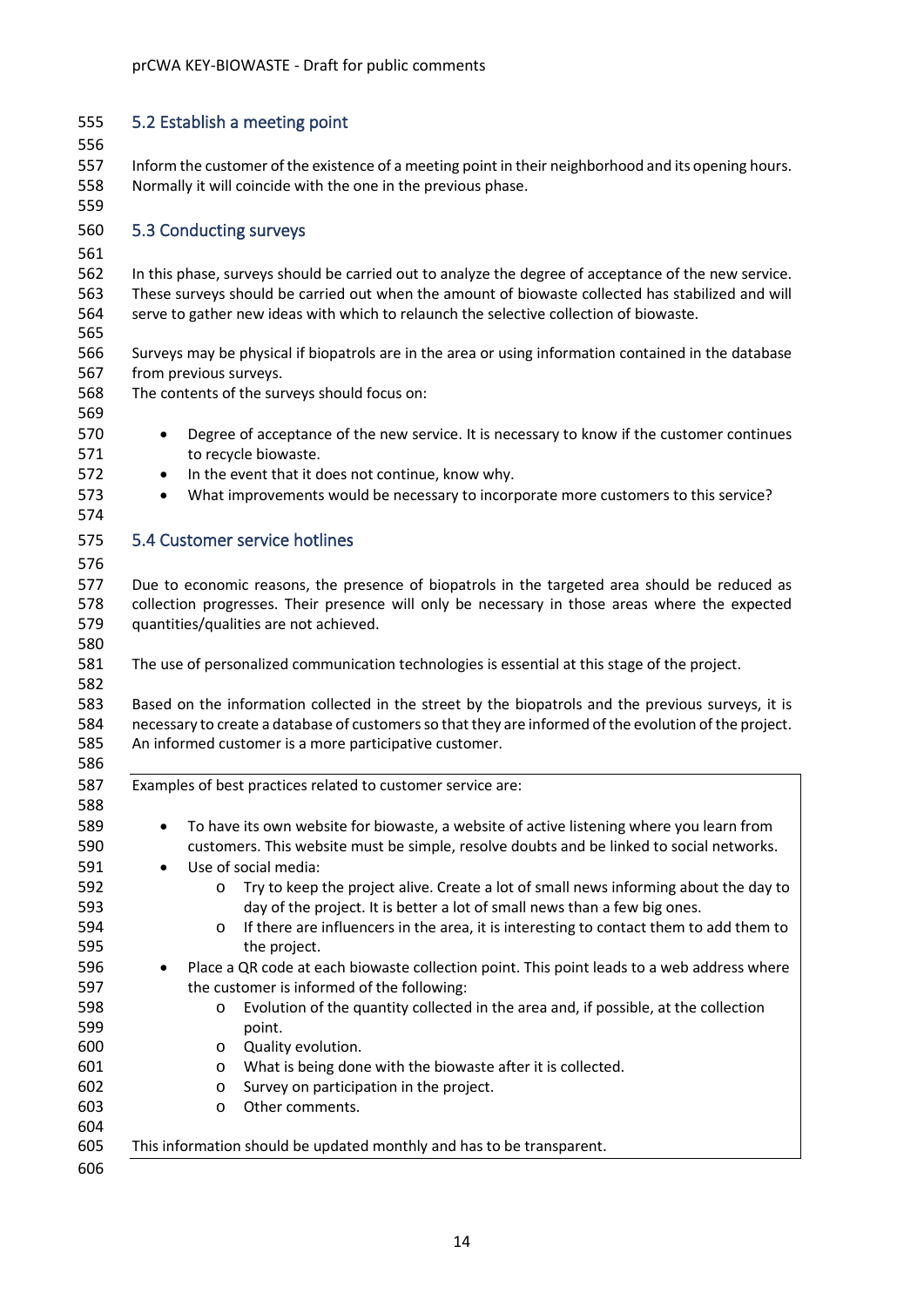<span id="page-13-2"></span><span id="page-13-1"></span><span id="page-13-0"></span>

| 555<br>556               | 5.2 Establish a meeting point                                                                                                                                                                                                                                                                                                     |
|--------------------------|-----------------------------------------------------------------------------------------------------------------------------------------------------------------------------------------------------------------------------------------------------------------------------------------------------------------------------------|
| 557<br>558<br>559        | Inform the customer of the existence of a meeting point in their neighborhood and its opening hours.<br>Normally it will coincide with the one in the previous phase.                                                                                                                                                             |
| 560<br>561               | 5.3 Conducting surveys                                                                                                                                                                                                                                                                                                            |
| 562<br>563<br>564<br>565 | In this phase, surveys should be carried out to analyze the degree of acceptance of the new service.<br>These surveys should be carried out when the amount of biowaste collected has stabilized and will<br>serve to gather new ideas with which to relaunch the selective collection of biowaste.                               |
| 566<br>567<br>568        | Surveys may be physical if biopatrols are in the area or using information contained in the database<br>from previous surveys.<br>The contents of the surveys should focus on:                                                                                                                                                    |
| 569<br>570<br>571<br>572 | Degree of acceptance of the new service. It is necessary to know if the customer continues<br>$\bullet$<br>to recycle biowaste.<br>In the event that it does not continue, know why.<br>$\bullet$                                                                                                                                 |
| 573<br>574               | What improvements would be necessary to incorporate more customers to this service?                                                                                                                                                                                                                                               |
| 575<br>576               | 5.4 Customer service hotlines                                                                                                                                                                                                                                                                                                     |
| 577<br>578<br>579<br>580 | Due to economic reasons, the presence of biopatrols in the targeted area should be reduced as<br>collection progresses. Their presence will only be necessary in those areas where the expected<br>quantities/qualities are not achieved.                                                                                         |
| 581<br>582               | The use of personalized communication technologies is essential at this stage of the project.                                                                                                                                                                                                                                     |
| 583<br>584<br>585<br>586 | Based on the information collected in the street by the biopatrols and the previous surveys, it is<br>necessary to create a database of customers so that they are informed of the evolution of the project.<br>An informed customer is a more participative customer.                                                            |
| 587<br>588               | Examples of best practices related to customer service are:                                                                                                                                                                                                                                                                       |
| 589<br>590<br>591<br>592 | To have its own website for biowaste, a website of active listening where you learn from<br>٠<br>customers. This website must be simple, resolve doubts and be linked to social networks.<br>Use of social media:<br>$\bullet$<br>Try to keep the project alive. Create a lot of small news informing about the day to<br>$\circ$ |
| 593<br>594<br>595        | day of the project. It is better a lot of small news than a few big ones.<br>If there are influencers in the area, it is interesting to contact them to add them to<br>O<br>the project.                                                                                                                                          |
| 596<br>597<br>598        | Place a QR code at each biowaste collection point. This point leads to a web address where<br>the customer is informed of the following:<br>Evolution of the quantity collected in the area and, if possible, at the collection<br>O                                                                                              |
| 599<br>600<br>601<br>602 | point.<br>Quality evolution.<br>O<br>What is being done with the biowaste after it is collected.<br>O<br>Survey on participation in the project.<br>O                                                                                                                                                                             |
|                          |                                                                                                                                                                                                                                                                                                                                   |
| 603<br>604<br>605        | Other comments.<br>O<br>This information should be updated monthly and has to be transparent.                                                                                                                                                                                                                                     |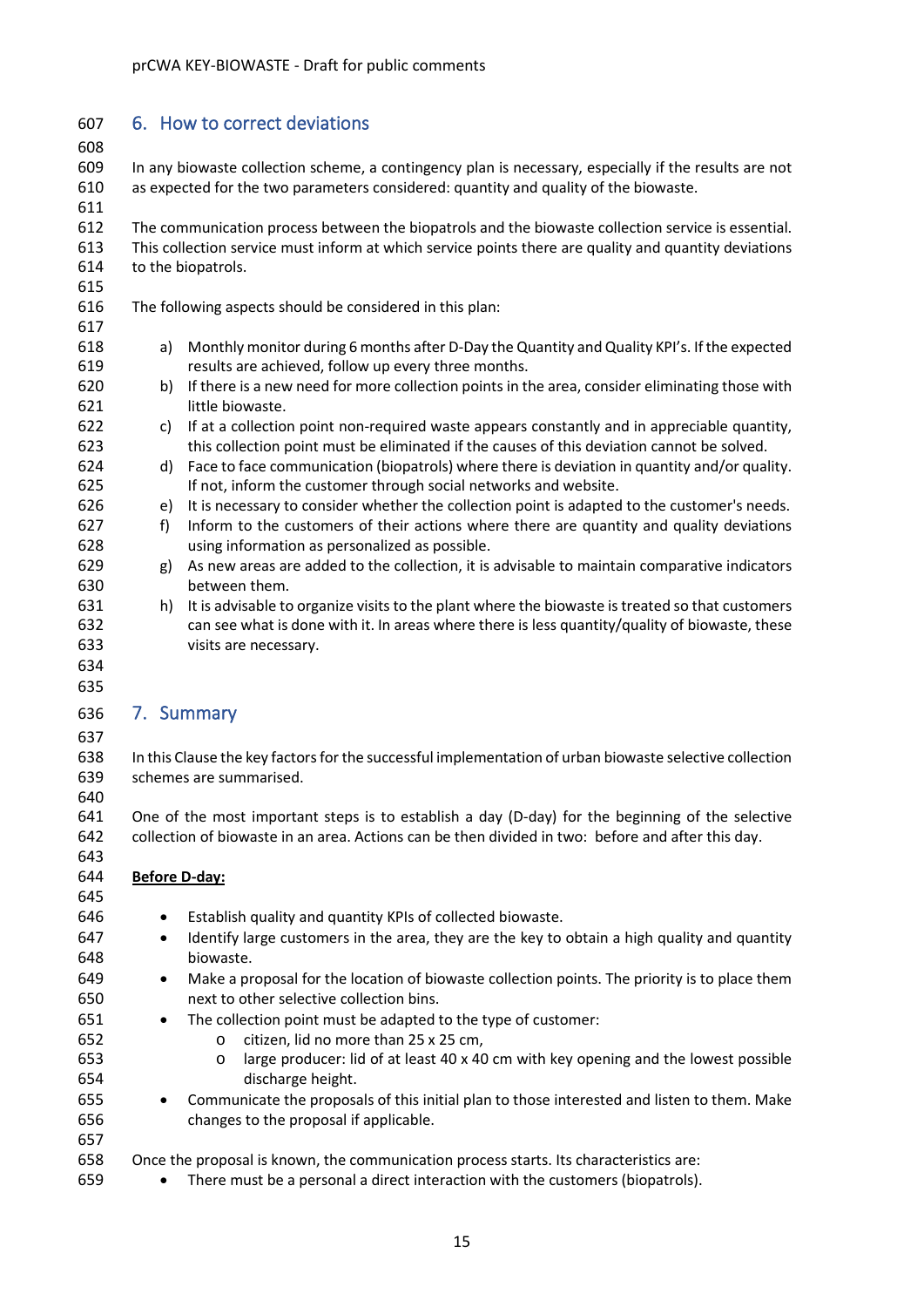# <span id="page-14-0"></span>6. How to correct deviations

 In any biowaste collection scheme, a contingency plan is necessary, especially if the results are not as expected for the two parameters considered: quantity and quality of the biowaste.

 The communication process between the biopatrols and the biowaste collection service is essential. This collection service must inform at which service points there are quality and quantity deviations to the biopatrols.

- The following aspects should be considered in this plan:
- a) Monthly monitor during 6 months after D-Day the Quantity and Quality KPI's. Ifthe expected results are achieved, follow up every three months.
- b) If there is a new need for more collection points in the area, consider eliminating those with little biowaste.
- c) If at a collection point non-required waste appears constantly and in appreciable quantity, 623 this collection point must be eliminated if the causes of this deviation cannot be solved.
- d) Face to face communication (biopatrols) where there is deviation in quantity and/or quality. If not, inform the customer through social networks and website.
- e) It is necessary to consider whether the collection point is adapted to the customer's needs.
- f) Inform to the customers of their actions where there are quantity and quality deviations using information as personalized as possible.
- g) As new areas are added to the collection, it is advisable to maintain comparative indicators between them.
- h) It is advisable to organize visits to the plant where the biowaste is treated so that customers can see what is done with it. In areas where there is less quantity/quality of biowaste, these visits are necessary.
- 

### <span id="page-14-1"></span> 7. Summary

 In this Clause the key factors for the successful implementation of urban biowaste selective collection schemes are summarised.

 One of the most important steps is to establish a day (D-day) for the beginning of the selective collection of biowaste in an area. Actions can be then divided in two: before and after this day.

#### **Before D-day:**

- Establish quality and quantity KPIs of collected biowaste.
- Identify large customers in the area, they are the key to obtain a high quality and quantity biowaste.
- Make a proposal for the location of biowaste collection points. The priority is to place them next to other selective collection bins.
- The collection point must be adapted to the type of customer:
	-
- 652 o citizen, lid no more than 25 x 25 cm,<br>653 o large producer: lid of at least 40 x 40 o large producer: lid of at least 40 x 40 cm with key opening and the lowest possible discharge height.
- Communicate the proposals of this initial plan to those interested and listen to them. Make changes to the proposal if applicable.

# Once the proposal is known, the communication process starts. Its characteristics are:

• There must be a personal a direct interaction with the customers (biopatrols).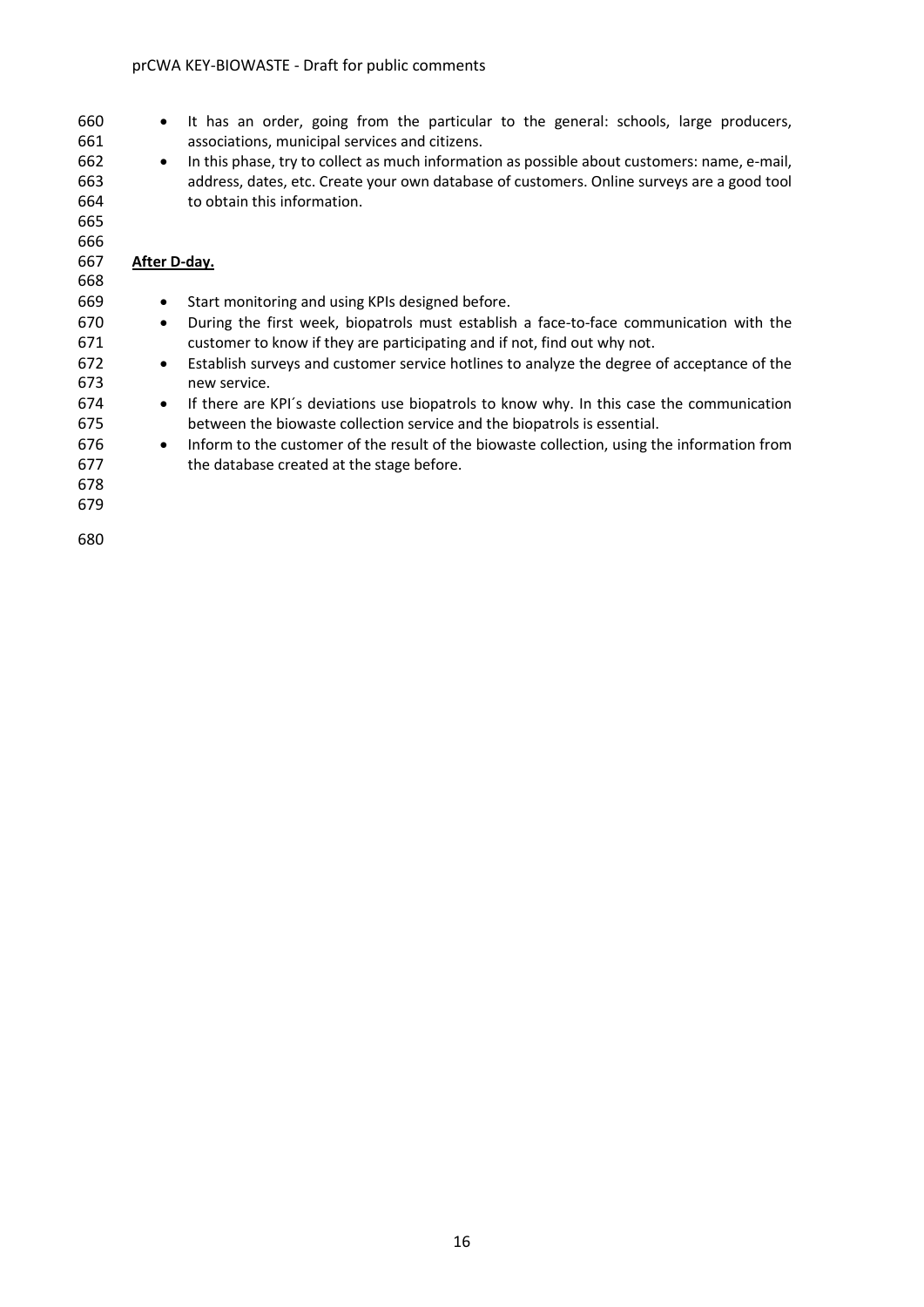- It has an order, going from the particular to the general: schools, large producers, associations, municipal services and citizens.
- In this phase, try to collect as much information as possible about customers: name, e-mail, address, dates, etc. Create your own database of customers. Online surveys are a good tool to obtain this information.

#### **After D-day.**

 

 • Start monitoring and using KPIs designed before. • During the first week, biopatrols must establish a face-to-face communication with the customer to know if they are participating and if not, find out why not. • Establish surveys and customer service hotlines to analyze the degree of acceptance of the new service. • If there are KPI´s deviations use biopatrols to know why. In this case the communication between the biowaste collection service and the biopatrols is essential. • Inform to the customer of the result of the biowaste collection, using the information from the database created at the stage before.